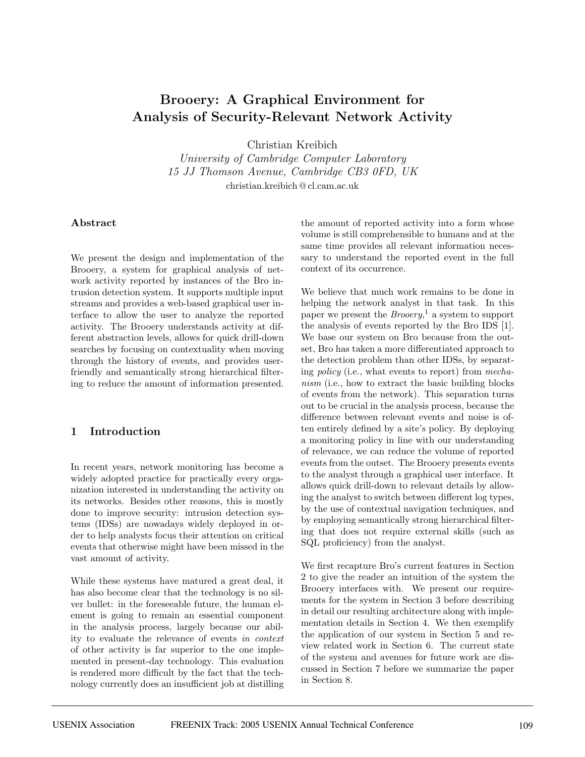# **Brooery: A Graphical Environment for Analysis of Security-Relevant Network Activity**

Christian Kreibich

University of Cambridge Computer Laboratory 15 JJ Thomson Avenue, Cambridge CB3 0FD, UK christian.kreibich @ cl.cam.ac.uk

#### **Abstract**

We present the design and implementation of the Brooery, a system for graphical analysis of network activity reported by instances of the Bro intrusion detection system. It supports multiple input streams and provides a web-based graphical user interface to allow the user to analyze the reported activity. The Brooery understands activity at different abstraction levels, allows for quick drill-down searches by focusing on contextuality when moving through the history of events, and provides userfriendly and semantically strong hierarchical filtering to reduce the amount of information presented.

### **1 Introduction**

In recent years, network monitoring has become a widely adopted practice for practically every organization interested in understanding the activity on its networks. Besides other reasons, this is mostly done to improve security: intrusion detection systems (IDSs) are nowadays widely deployed in order to help analysts focus their attention on critical events that otherwise might have been missed in the vast amount of activity.

While these systems have matured a great deal, it has also become clear that the technology is no silver bullet: in the foreseeable future, the human element is going to remain an essential component in the analysis process, largely because our ability to evaluate the relevance of events in context of other activity is far superior to the one implemented in present-day technology. This evaluation is rendered more difficult by the fact that the technology currently does an insufficient job at distilling the amount of reported activity into a form whose volume is still comprehensible to humans and at the same time provides all relevant information necessary to understand the reported event in the full context of its occurrence.

We believe that much work remains to be done in helping the network analyst in that task. In this paper we present the  $Brooery$ <sup>1</sup>, a system to support the analysis of events reported by the Bro IDS [1]. We base our system on Bro because from the outset, Bro has taken a more differentiated approach to the detection problem than other IDSs, by separating policy (i.e., what events to report) from mechanism (i.e., how to extract the basic building blocks of events from the network). This separation turns out to be crucial in the analysis process, because the difference between relevant events and noise is often entirely defined by a site's policy. By deploying a monitoring policy in line with our understanding of relevance, we can reduce the volume of reported events from the outset. The Brooery presents events to the analyst through a graphical user interface. It allows quick drill-down to relevant details by allowing the analyst to switch between different log types, by the use of contextual navigation techniques, and by employing semantically strong hierarchical filtering that does not require external skills (such as SQL proficiency) from the analyst.

We first recapture Bro's current features in Section 2 to give the reader an intuition of the system the Brooery interfaces with. We present our requirements for the system in Section 3 before describing in detail our resulting architecture along with implementation details in Section 4. We then exemplify the application of our system in Section 5 and review related work in Section 6. The current state of the system and avenues for future work are discussed in Section 7 before we summarize the paper in Section 8.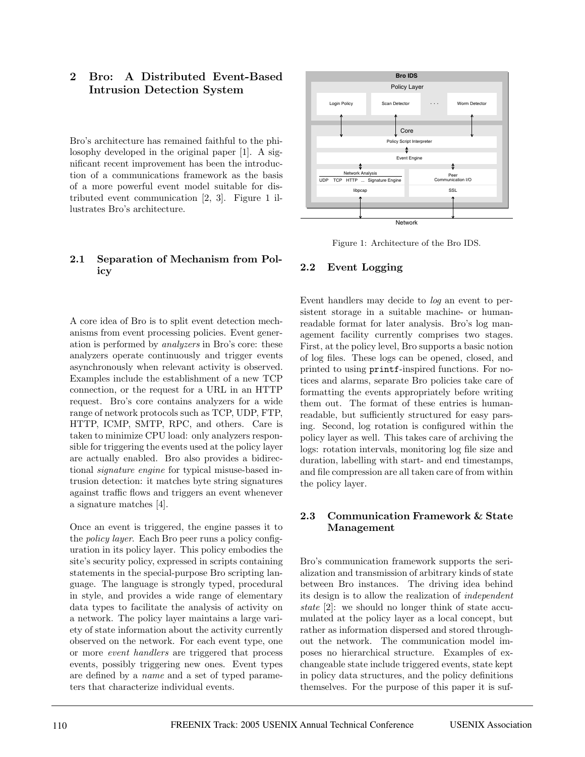# **2 Bro: A Distributed Event-Based Intrusion Detection System**

Bro's architecture has remained faithful to the philosophy developed in the original paper [1]. A significant recent improvement has been the introduction of a communications framework as the basis of a more powerful event model suitable for distributed event communication [2, 3]. Figure 1 illustrates Bro's architecture.

### **2.1 Separation of Mechanism from Policy**

A core idea of Bro is to split event detection mechanisms from event processing policies. Event generation is performed by analyzers in Bro's core: these analyzers operate continuously and trigger events asynchronously when relevant activity is observed. Examples include the establishment of a new TCP connection, or the request for a URL in an HTTP request. Bro's core contains analyzers for a wide range of network protocols such as TCP, UDP, FTP, HTTP, ICMP, SMTP, RPC, and others. Care is taken to minimize CPU load: only analyzers responsible for triggering the events used at the policy layer are actually enabled. Bro also provides a bidirectional signature engine for typical misuse-based intrusion detection: it matches byte string signatures against traffic flows and triggers an event whenever a signature matches [4].

Once an event is triggered, the engine passes it to the policy layer. Each Bro peer runs a policy configuration in its policy layer. This policy embodies the site's security policy, expressed in scripts containing statements in the special-purpose Bro scripting language. The language is strongly typed, procedural in style, and provides a wide range of elementary data types to facilitate the analysis of activity on a network. The policy layer maintains a large variety of state information about the activity currently observed on the network. For each event type, one or more event handlers are triggered that process events, possibly triggering new ones. Event types are defined by a name and a set of typed parameters that characterize individual events.



Figure 1: Architecture of the Bro IDS.

#### **2.2 Event Logging**

Event handlers may decide to log an event to persistent storage in a suitable machine- or humanreadable format for later analysis. Bro's log management facility currently comprises two stages. First, at the policy level, Bro supports a basic notion of log files. These logs can be opened, closed, and printed to using printf-inspired functions. For notices and alarms, separate Bro policies take care of formatting the events appropriately before writing them out. The format of these entries is humanreadable, but sufficiently structured for easy parsing. Second, log rotation is configured within the policy layer as well. This takes care of archiving the logs: rotation intervals, monitoring log file size and duration, labelling with start- and end timestamps, and file compression are all taken care of from within the policy layer.

#### **2.3 Communication Framework & State Management**

Bro's communication framework supports the serialization and transmission of arbitrary kinds of state between Bro instances. The driving idea behind its design is to allow the realization of independent state [2]: we should no longer think of state accumulated at the policy layer as a local concept, but rather as information dispersed and stored throughout the network. The communication model imposes no hierarchical structure. Examples of exchangeable state include triggered events, state kept in policy data structures, and the policy definitions themselves. For the purpose of this paper it is suf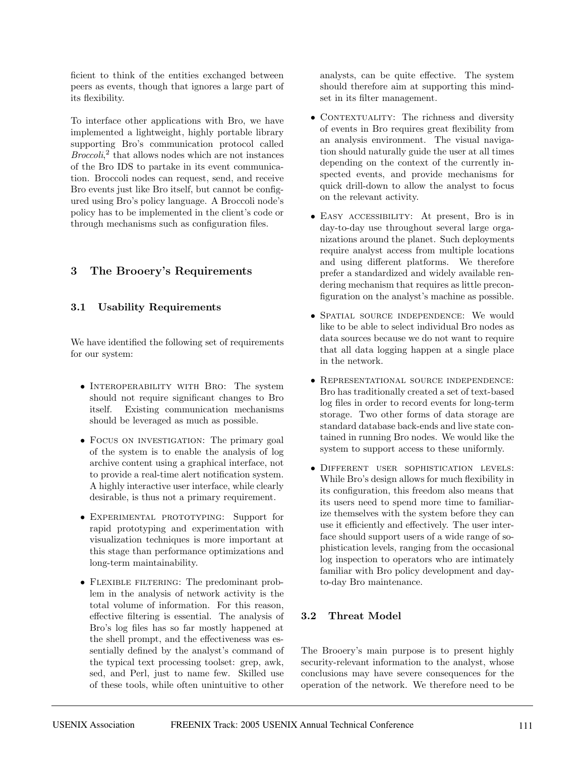ficient to think of the entities exchanged between peers as events, though that ignores a large part of its flexibility.

To interface other applications with Bro, we have implemented a lightweight, highly portable library supporting Bro's communication protocol called  $Brocoli<sub>i</sub><sup>2</sup>$  that allows nodes which are not instances of the Bro IDS to partake in its event communication. Broccoli nodes can request, send, and receive Bro events just like Bro itself, but cannot be configured using Bro's policy language. A Broccoli node's policy has to be implemented in the client's code or through mechanisms such as configuration files.

# **3 The Brooery's Requirements**

## **3.1 Usability Requirements**

We have identified the following set of requirements for our system:

- Interoperability with Bro: The system should not require significant changes to Bro itself. Existing communication mechanisms should be leveraged as much as possible.
- FOCUS ON INVESTIGATION: The primary goal of the system is to enable the analysis of log archive content using a graphical interface, not to provide a real-time alert notification system. A highly interactive user interface, while clearly desirable, is thus not a primary requirement.
- EXPERIMENTAL PROTOTYPING: Support for rapid prototyping and experimentation with visualization techniques is more important at this stage than performance optimizations and long-term maintainability.
- Flexible filtering: The predominant problem in the analysis of network activity is the total volume of information. For this reason, effective filtering is essential. The analysis of Bro's log files has so far mostly happened at the shell prompt, and the effectiveness was essentially defined by the analyst's command of the typical text processing toolset: grep, awk, sed, and Perl, just to name few. Skilled use of these tools, while often unintuitive to other

analysts, can be quite effective. The system should therefore aim at supporting this mindset in its filter management.

- CONTEXTUALITY: The richness and diversity of events in Bro requires great flexibility from an analysis environment. The visual navigation should naturally guide the user at all times depending on the context of the currently inspected events, and provide mechanisms for quick drill-down to allow the analyst to focus on the relevant activity.
- EASY ACCESSIBILITY: At present, Bro is in day-to-day use throughout several large organizations around the planet. Such deployments require analyst access from multiple locations and using different platforms. We therefore prefer a standardized and widely available rendering mechanism that requires as little preconfiguration on the analyst's machine as possible.
- Spatial source independence: We would like to be able to select individual Bro nodes as data sources because we do not want to require that all data logging happen at a single place in the network.
- Representational source independence: Bro has traditionally created a set of text-based log files in order to record events for long-term storage. Two other forms of data storage are standard database back-ends and live state contained in running Bro nodes. We would like the system to support access to these uniformly.
- Different user sophistication levels: While Bro's design allows for much flexibility in its configuration, this freedom also means that its users need to spend more time to familiarize themselves with the system before they can use it efficiently and effectively. The user interface should support users of a wide range of sophistication levels, ranging from the occasional log inspection to operators who are intimately familiar with Bro policy development and dayto-day Bro maintenance.

# **3.2 Threat Model**

The Brooery's main purpose is to present highly security-relevant information to the analyst, whose conclusions may have severe consequences for the operation of the network. We therefore need to be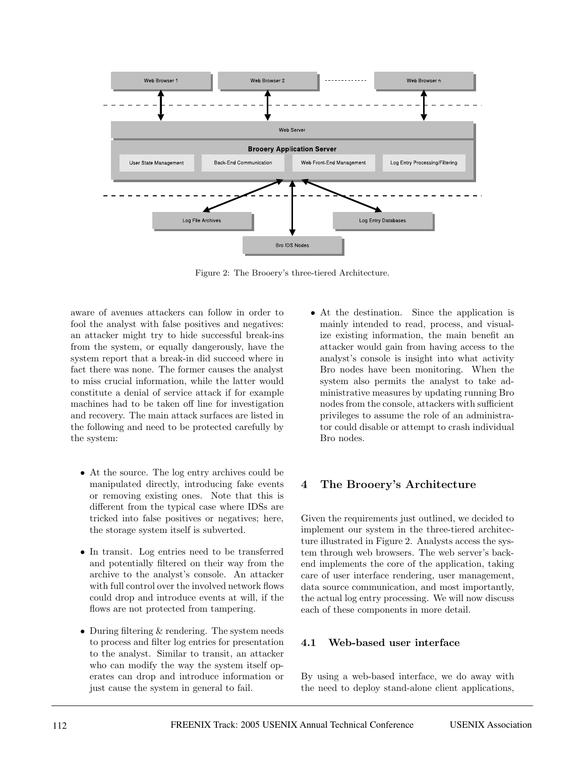

Figure 2: The Brooery's three-tiered Architecture.

aware of avenues attackers can follow in order to fool the analyst with false positives and negatives: an attacker might try to hide successful break-ins from the system, or equally dangerously, have the system report that a break-in did succeed where in fact there was none. The former causes the analyst to miss crucial information, while the latter would constitute a denial of service attack if for example machines had to be taken off line for investigation and recovery. The main attack surfaces are listed in the following and need to be protected carefully by the system:

- At the source. The log entry archives could be manipulated directly, introducing fake events or removing existing ones. Note that this is different from the typical case where IDSs are tricked into false positives or negatives; here, the storage system itself is subverted.
- In transit. Log entries need to be transferred and potentially filtered on their way from the archive to the analyst's console. An attacker with full control over the involved network flows could drop and introduce events at will, if the flows are not protected from tampering.
- During filtering & rendering. The system needs to process and filter log entries for presentation to the analyst. Similar to transit, an attacker who can modify the way the system itself operates can drop and introduce information or just cause the system in general to fail.

• At the destination. Since the application is mainly intended to read, process, and visualize existing information, the main benefit an attacker would gain from having access to the analyst's console is insight into what activity Bro nodes have been monitoring. When the system also permits the analyst to take administrative measures by updating running Bro nodes from the console, attackers with sufficient privileges to assume the role of an administrator could disable or attempt to crash individual Bro nodes.

# **4 The Brooery's Architecture**

Given the requirements just outlined, we decided to implement our system in the three-tiered architecture illustrated in Figure 2. Analysts access the system through web browsers. The web server's backend implements the core of the application, taking care of user interface rendering, user management, data source communication, and most importantly, the actual log entry processing. We will now discuss each of these components in more detail.

#### **4.1 Web-based user interface**

By using a web-based interface, we do away with the need to deploy stand-alone client applications,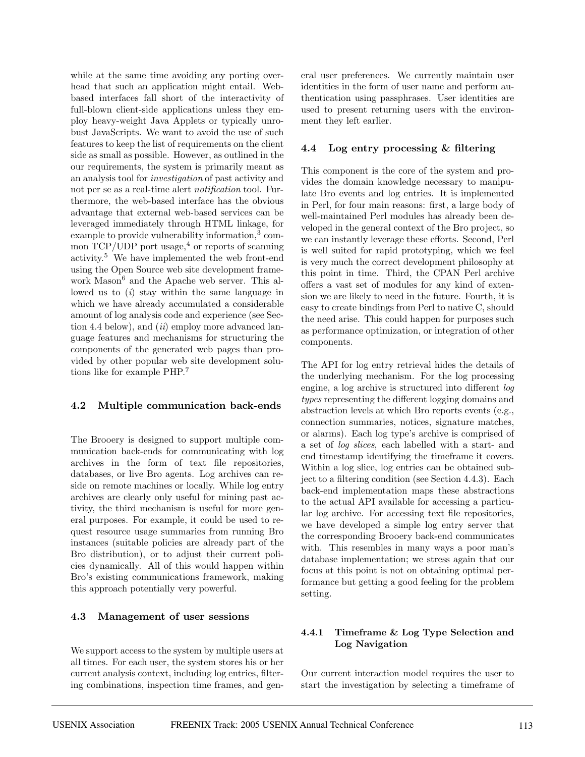while at the same time avoiding any porting overhead that such an application might entail. Webbased interfaces fall short of the interactivity of full-blown client-side applications unless they employ heavy-weight Java Applets or typically unrobust JavaScripts. We want to avoid the use of such features to keep the list of requirements on the client side as small as possible. However, as outlined in the our requirements, the system is primarily meant as an analysis tool for investigation of past activity and not per se as a real-time alert notification tool. Furthermore, the web-based interface has the obvious advantage that external web-based services can be leveraged immediately through HTML linkage, for example to provide vulnerability information,<sup>3</sup> common  $TCP/UDP$  port usage,<sup>4</sup> or reports of scanning activity.<sup>5</sup> We have implemented the web front-end using the Open Source web site development framework Mason<sup>6</sup> and the Apache web server. This allowed us to  $(i)$  stay within the same language in which we have already accumulated a considerable amount of log analysis code and experience (see Section 4.4 below), and  $(ii)$  employ more advanced language features and mechanisms for structuring the components of the generated web pages than provided by other popular web site development solutions like for example PHP.<sup>7</sup>

#### **4.2 Multiple communication back-ends**

The Brooery is designed to support multiple communication back-ends for communicating with log archives in the form of text file repositories, databases, or live Bro agents. Log archives can reside on remote machines or locally. While log entry archives are clearly only useful for mining past activity, the third mechanism is useful for more general purposes. For example, it could be used to request resource usage summaries from running Bro instances (suitable policies are already part of the Bro distribution), or to adjust their current policies dynamically. All of this would happen within Bro's existing communications framework, making this approach potentially very powerful.

#### **4.3 Management of user sessions**

We support access to the system by multiple users at all times. For each user, the system stores his or her current analysis context, including log entries, filtering combinations, inspection time frames, and general user preferences. We currently maintain user identities in the form of user name and perform authentication using passphrases. User identities are used to present returning users with the environment they left earlier.

#### **4.4 Log entry processing & filtering**

This component is the core of the system and provides the domain knowledge necessary to manipulate Bro events and log entries. It is implemented in Perl, for four main reasons: first, a large body of well-maintained Perl modules has already been developed in the general context of the Bro project, so we can instantly leverage these efforts. Second, Perl is well suited for rapid prototyping, which we feel is very much the correct development philosophy at this point in time. Third, the CPAN Perl archive offers a vast set of modules for any kind of extension we are likely to need in the future. Fourth, it is easy to create bindings from Perl to native C, should the need arise. This could happen for purposes such as performance optimization, or integration of other components.

The API for log entry retrieval hides the details of the underlying mechanism. For the log processing engine, a log archive is structured into different log types representing the different logging domains and abstraction levels at which Bro reports events (e.g., connection summaries, notices, signature matches, or alarms). Each log type's archive is comprised of a set of log slices, each labelled with a start- and end timestamp identifying the timeframe it covers. Within a log slice, log entries can be obtained subject to a filtering condition (see Section 4.4.3). Each back-end implementation maps these abstractions to the actual API available for accessing a particular log archive. For accessing text file repositories, we have developed a simple log entry server that the corresponding Brooery back-end communicates with. This resembles in many ways a poor man's database implementation; we stress again that our focus at this point is not on obtaining optimal performance but getting a good feeling for the problem setting.

#### **4.4.1 Timeframe & Log Type Selection and Log Navigation**

Our current interaction model requires the user to start the investigation by selecting a timeframe of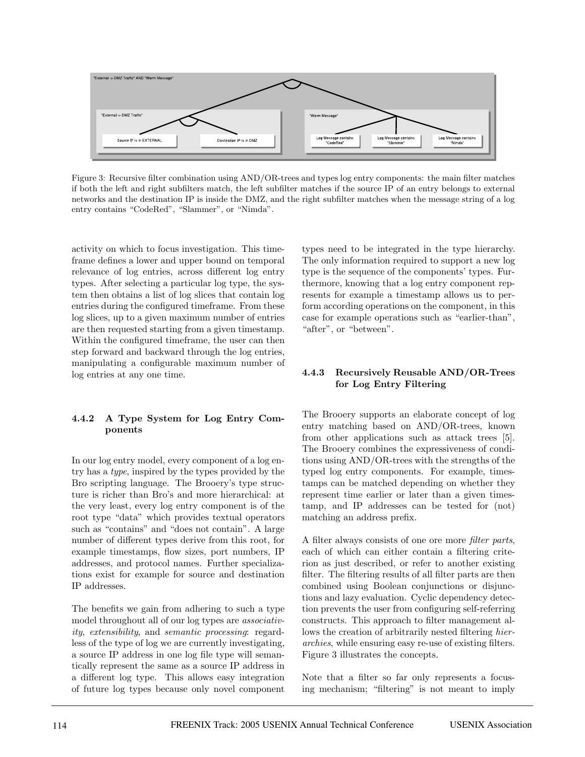

Figure 3: Recursive filter combination using AND/OR-trees and types log entry components: the main filter matches if both the left and right subfilters match, the left subfilter matches if the source IP of an entry belongs to external networks and the destination IP is inside the DMZ, and the right subfilter matches when the message string of a log entry contains "CodeRed", "Slammer", or "Nimda".

activity on which to focus investigation. This timeframe defines a lower and upper bound on temporal relevance of log entries, across different log entry types. After selecting a particular log type, the system then obtains a list of log slices that contain log entries during the configured timeframe. From these log slices, up to a given maximum number of entries are then requested starting from a given timestamp. Within the configured timeframe, the user can then step forward and backward through the log entries, manipulating a configurable maximum number of log entries at any one time.

#### **4.4.2 A Type System for Log Entry Components**

In our log entry model, every component of a log entry has a type, inspired by the types provided by the Bro scripting language. The Brooery's type structure is richer than Bro's and more hierarchical: at the very least, every log entry component is of the root type "data" which provides textual operators such as "contains" and "does not contain". A large number of different types derive from this root, for example timestamps, flow sizes, port numbers, IP addresses, and protocol names. Further specializations exist for example for source and destination IP addresses.

The benefits we gain from adhering to such a type model throughout all of our log types are associativity, extensibility, and semantic processing: regardless of the type of log we are currently investigating, a source IP address in one log file type will semantically represent the same as a source IP address in a different log type. This allows easy integration of future log types because only novel component types need to be integrated in the type hierarchy. The only information required to support a new log type is the sequence of the components' types. Furthermore, knowing that a log entry component represents for example a timestamp allows us to perform according operations on the component, in this case for example operations such as "earlier-than", "after", or "between".

#### **4.4.3 Recursively Reusable AND/OR-Trees for Log Entry Filtering**

The Brooery supports an elaborate concept of log entry matching based on AND/OR-trees, known from other applications such as attack trees [5]. The Brooery combines the expressiveness of conditions using AND/OR-trees with the strengths of the typed log entry components. For example, timestamps can be matched depending on whether they represent time earlier or later than a given timestamp, and IP addresses can be tested for (not) matching an address prefix.

A filter always consists of one ore more filter parts, each of which can either contain a filtering criterion as just described, or refer to another existing filter. The filtering results of all filter parts are then combined using Boolean conjunctions or disjunctions and lazy evaluation. Cyclic dependency detection prevents the user from configuring self-referring constructs. This approach to filter management allows the creation of arbitrarily nested filtering hierarchies, while ensuring easy re-use of existing filters. Figure 3 illustrates the concepts.

Note that a filter so far only represents a focusing mechanism; "filtering" is not meant to imply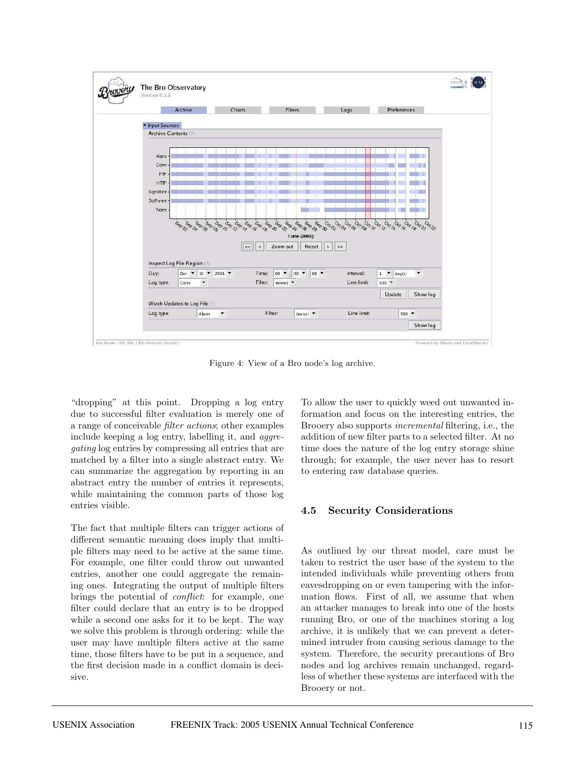

Figure 4: View of a Bro node's log archive.

"dropping" at this point. Dropping a log entry due to successful filter evaluation is merely one of a range of conceivable filter actions; other examples include keeping a log entry, labelling it, and aggregating log entries by compressing all entries that are matched by a filter into a single abstract entry. We can summarize the aggregation by reporting in an abstract entry the number of entries it represents, while maintaining the common parts of those log entries visible.

The fact that multiple filters can trigger actions of different semantic meaning does imply that multiple filters may need to be active at the same time. For example, one filter could throw out unwanted entries, another one could aggregate the remaining ones. Integrating the output of multiple filters brings the potential of conflict: for example, one filter could declare that an entry is to be dropped while a second one asks for it to be kept. The way we solve this problem is through ordering: while the user may have multiple filters active at the same time, those filters have to be put in a sequence, and the first decision made in a conflict domain is decisive.

To allow the user to quickly weed out unwanted information and focus on the interesting entries, the Brooery also supports incremental filtering, i.e., the addition of new filter parts to a selected filter. At no time does the nature of the log entry storage shine through; for example, the user never has to resort to entering raw database queries.

#### **4.5 Security Considerations**

As outlined by our threat model, care must be taken to restrict the user base of the system to the intended individuals while preventing others from eavesdropping on or even tampering with the information flows. First of all, we assume that when an attacker manages to break into one of the hosts running Bro, or one of the machines storing a log archive, it is unlikely that we can prevent a determined intruder from causing serious damage to the system. Therefore, the security precautions of Bro nodes and log archives remain unchanged, regardless of whether these systems are interfaced with the Brooery or not.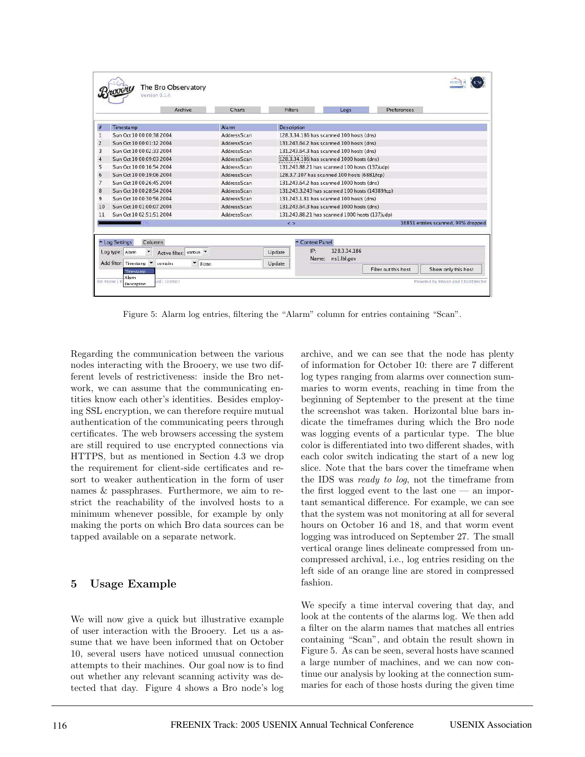|                                                                             | Archive                   | Charts             | Filters                                         |                 | Logs                        | Preferences          |                                    |
|-----------------------------------------------------------------------------|---------------------------|--------------------|-------------------------------------------------|-----------------|-----------------------------|----------------------|------------------------------------|
| $\frac{1}{2}$                                                               | Timestamp                 | Alarm              | <b>Description</b>                              |                 |                             |                      |                                    |
| 1                                                                           | Sun Oct 10 00:00:38 2004  | AddressScan        | 128.3.34.186 has scanned 100 hosts (dns)        |                 |                             |                      |                                    |
| $\overline{2}$                                                              | Sun Oct 10 00:01:12 2004  | <b>AddressScan</b> | 131.243.64.2 has scanned 100 hosts (dns)        |                 |                             |                      |                                    |
| 3                                                                           | Sun Oct 10 00:02:33 2004  | <b>AddressScan</b> | 131,243,64.3 has scanned 100 hosts (dns)        |                 |                             |                      |                                    |
| $\overline{4}$                                                              | Sun Oct 10 00:09:03 2004  | AddressScan        | :128.3.34.186:has scanned 1000 hosts (dns)      |                 |                             |                      |                                    |
| 5                                                                           | Sun Oct 10 00:16:54 2004  | <b>AddressScan</b> | 131.243.88.21 has scanned 100 hosts (137/udp)   |                 |                             |                      |                                    |
| 6                                                                           | Sun Oct 10 00:19:06 2004  | AddressScan        | 128.3.7.107 has scanned 100 hosts (6881/tcp)    |                 |                             |                      |                                    |
| $\overline{7}$                                                              | Sun Oct 10 00:26:45 2004  | AddressScan        | 131,243,64.2 has scanned 1000 hosts (dns)       |                 |                             |                      |                                    |
| 8                                                                           | Sun Oct 10 00:28:54 2004  | AddressScan        | 131.243.3.243 has scanned 100 hosts (14389/tcp) |                 |                             |                      |                                    |
| 9                                                                           | Sun Oct 10 00:30:56 2004  | <b>AddressScan</b> | 131.243.1.81 has scanned 100 hosts (dns)        |                 |                             |                      |                                    |
| 10                                                                          | Sun Oct 10 01:00:07 2004  | AddressScan        | 131.243.64.3 has scanned 1000 hosts (dns)       |                 |                             |                      |                                    |
| 11                                                                          | Sun Oct 10 02:51:51 2004  | <b>AddressScan</b> | 131.243.88.21 has scanned 1000 hosts (137/udp)  |                 |                             |                      |                                    |
|                                                                             | 75                        |                    | $\leq$ $>$                                      |                 |                             |                      | 16851 entries scanned, 99% dropped |
|                                                                             | Columns<br>- Log Settings |                    |                                                 | - Context Panel |                             |                      |                                    |
| Log type: Alam<br>Active filter: various                                    |                           |                    | Update                                          | IP:<br>Name:    | 128.3.34.186<br>ns1.lbl.gov |                      |                                    |
| Add filter: Timestamp<br>$\blacktriangledown$ Scan<br>contains<br>Timestamp |                           |                    | Update                                          |                 |                             | Filter out this host | Show only this host                |

Figure 5: Alarm log entries, filtering the "Alarm" column for entries containing "Scan".

Regarding the communication between the various nodes interacting with the Brooery, we use two different levels of restrictiveness: inside the Bro network, we can assume that the communicating entities know each other's identities. Besides employing SSL encryption, we can therefore require mutual authentication of the communicating peers through certificates. The web browsers accessing the system are still required to use encrypted connections via HTTPS, but as mentioned in Section 4.3 we drop the requirement for client-side certificates and resort to weaker authentication in the form of user names & passphrases. Furthermore, we aim to restrict the reachability of the involved hosts to a minimum whenever possible, for example by only making the ports on which Bro data sources can be tapped available on a separate network.

# **5 Usage Example**

We will now give a quick but illustrative example of user interaction with the Brooery. Let us a assume that we have been informed that on October 10, several users have noticed unusual connection attempts to their machines. Our goal now is to find out whether any relevant scanning activity was detected that day. Figure 4 shows a Bro node's log archive, and we can see that the node has plenty of information for October 10: there are 7 different log types ranging from alarms over connection summaries to worm events, reaching in time from the beginning of September to the present at the time the screenshot was taken. Horizontal blue bars indicate the timeframes during which the Bro node was logging events of a particular type. The blue color is differentiated into two different shades, with each color switch indicating the start of a new log slice. Note that the bars cover the timeframe when the IDS was ready to log, not the timeframe from the first logged event to the last one — an important semantical difference. For example, we can see that the system was not monitoring at all for several hours on October 16 and 18, and that worm event logging was introduced on September 27. The small vertical orange lines delineate compressed from uncompressed archival, i.e., log entries residing on the left side of an orange line are stored in compressed fashion.

We specify a time interval covering that day, and look at the contents of the alarms log. We then add a filter on the alarm names that matches all entries containing "Scan", and obtain the result shown in Figure 5. As can be seen, several hosts have scanned a large number of machines, and we can now continue our analysis by looking at the connection summaries for each of those hosts during the given time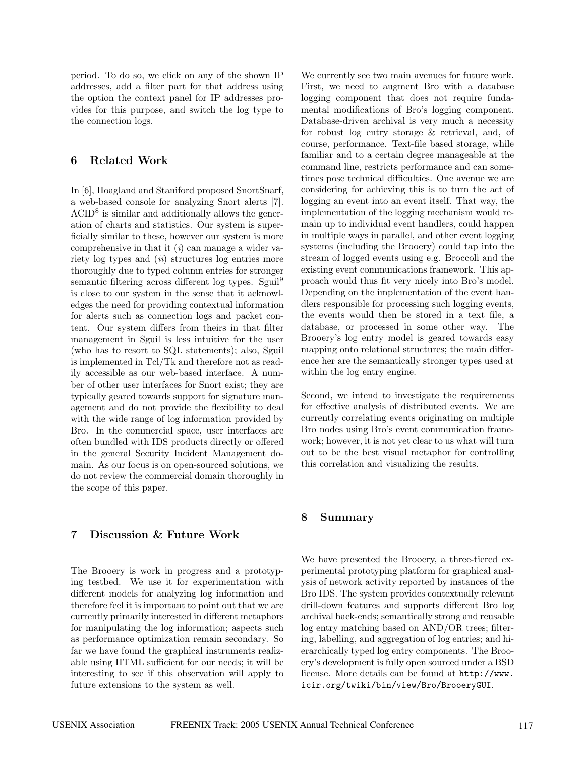period. To do so, we click on any of the shown IP addresses, add a filter part for that address using the option the context panel for IP addresses provides for this purpose, and switch the log type to the connection logs.

### **6 Related Work**

In [6], Hoagland and Staniford proposed SnortSnarf, a web-based console for analyzing Snort alerts [7].  $ACID<sup>8</sup>$  is similar and additionally allows the generation of charts and statistics. Our system is superficially similar to these, however our system is more comprehensive in that it  $(i)$  can manage a wider variety log types and *(ii)* structures log entries more thoroughly due to typed column entries for stronger semantic filtering across different log types. Sguil<sup>9</sup> is close to our system in the sense that it acknowledges the need for providing contextual information for alerts such as connection logs and packet content. Our system differs from theirs in that filter management in Sguil is less intuitive for the user (who has to resort to SQL statements); also, Sguil is implemented in Tcl/Tk and therefore not as readily accessible as our web-based interface. A number of other user interfaces for Snort exist; they are typically geared towards support for signature management and do not provide the flexibility to deal with the wide range of log information provided by Bro. In the commercial space, user interfaces are often bundled with IDS products directly or offered in the general Security Incident Management domain. As our focus is on open-sourced solutions, we do not review the commercial domain thoroughly in the scope of this paper.

### **7 Discussion & Future Work**

The Brooery is work in progress and a prototyping testbed. We use it for experimentation with different models for analyzing log information and therefore feel it is important to point out that we are currently primarily interested in different metaphors for manipulating the log information; aspects such as performance optimization remain secondary. So far we have found the graphical instruments realizable using HTML sufficient for our needs; it will be interesting to see if this observation will apply to future extensions to the system as well.

We currently see two main avenues for future work. First, we need to augment Bro with a database logging component that does not require fundamental modifications of Bro's logging component. Database-driven archival is very much a necessity for robust log entry storage & retrieval, and, of course, performance. Text-file based storage, while familiar and to a certain degree manageable at the command line, restricts performance and can sometimes pose technical difficulties. One avenue we are considering for achieving this is to turn the act of logging an event into an event itself. That way, the implementation of the logging mechanism would remain up to individual event handlers, could happen in multiple ways in parallel, and other event logging systems (including the Brooery) could tap into the stream of logged events using e.g. Broccoli and the existing event communications framework. This approach would thus fit very nicely into Bro's model. Depending on the implementation of the event handlers responsible for processing such logging events, the events would then be stored in a text file, a database, or processed in some other way. The Brooery's log entry model is geared towards easy mapping onto relational structures; the main difference her are the semantically stronger types used at within the log entry engine.

Second, we intend to investigate the requirements for effective analysis of distributed events. We are currently correlating events originating on multiple Bro nodes using Bro's event communication framework; however, it is not yet clear to us what will turn out to be the best visual metaphor for controlling this correlation and visualizing the results.

### **8 Summary**

We have presented the Brooery, a three-tiered experimental prototyping platform for graphical analysis of network activity reported by instances of the Bro IDS. The system provides contextually relevant drill-down features and supports different Bro log archival back-ends; semantically strong and reusable log entry matching based on AND/OR trees; filtering, labelling, and aggregation of log entries; and hierarchically typed log entry components. The Brooery's development is fully open sourced under a BSD license. More details can be found at http://www. icir.org/twiki/bin/view/Bro/BrooeryGUI.